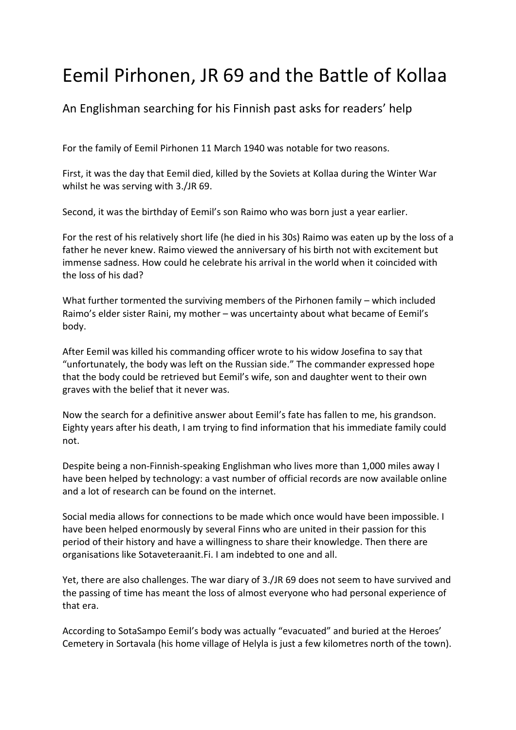## Eemil Pirhonen, JR 69 and the Battle of Kollaa

An Englishman searching for his Finnish past asks for readers' help

For the family of Eemil Pirhonen 11 March 1940 was notable for two reasons.

First, it was the day that Eemil died, killed by the Soviets at Kollaa during the Winter War whilst he was serving with 3./JR 69.

Second, it was the birthday of Eemil's son Raimo who was born just a year earlier.

For the rest of his relatively short life (he died in his 30s) Raimo was eaten up by the loss of a father he never knew. Raimo viewed the anniversary of his birth not with excitement but immense sadness. How could he celebrate his arrival in the world when it coincided with the loss of his dad?

What further tormented the surviving members of the Pirhonen family – which included Raimo's elder sister Raini, my mother – was uncertainty about what became of Eemil's body.

After Eemil was killed his commanding officer wrote to his widow Josefina to say that "unfortunately, the body was left on the Russian side." The commander expressed hope that the body could be retrieved but Eemil's wife, son and daughter went to their own graves with the belief that it never was.

Now the search for a definitive answer about Eemil's fate has fallen to me, his grandson. Eighty years after his death, I am trying to find information that his immediate family could not.

Despite being a non-Finnish-speaking Englishman who lives more than 1,000 miles away I have been helped by technology: a vast number of official records are now available online and a lot of research can be found on the internet.

Social media allows for connections to be made which once would have been impossible. I have been helped enormously by several Finns who are united in their passion for this period of their history and have a willingness to share their knowledge. Then there are organisations like Sotaveteraanit.Fi. I am indebted to one and all.

Yet, there are also challenges. The war diary of 3./JR 69 does not seem to have survived and the passing of time has meant the loss of almost everyone who had personal experience of that era.

According to SotaSampo Eemil's body was actually "evacuated" and buried at the Heroes' Cemetery in Sortavala (his home village of Helyla is just a few kilometres north of the town).